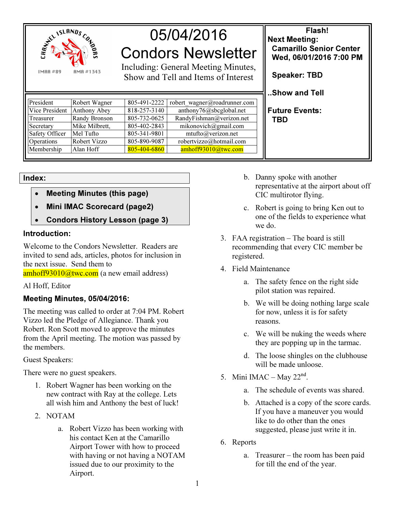

| <b>REAL ISLANDS COLLECTION</b><br>AMA #1343<br><b>IMAR#89</b> |                |              | 05/04/2016<br><b>Condors Newsletter</b><br>Including: General Meeting Minutes,<br>Show and Tell and Items of Interest | Flash!<br><b>Next Meeting:</b><br><b>Camarillo Senior Center</b><br>Wed, 06/01/2016 7:00 PM<br><b>Speaker: TBD</b><br>Show and Tell |
|---------------------------------------------------------------|----------------|--------------|-----------------------------------------------------------------------------------------------------------------------|-------------------------------------------------------------------------------------------------------------------------------------|
| President                                                     | Robert Wagner  | 805-491-2222 | robert wagner@roadrunner.com                                                                                          |                                                                                                                                     |
| Vice President                                                | Anthony Abey   | 818-257-3140 | anthony76@sbcglobal.net                                                                                               | Future Events:                                                                                                                      |
| Treasurer                                                     | Randy Bronson  | 805-732-0625 | RandyFishman@verizon.net                                                                                              | <b>TBD</b>                                                                                                                          |
| Secretary                                                     | Mike Milbrett, | 805-402-2843 | mikonovich@gmail.com                                                                                                  |                                                                                                                                     |
| Safety Officer                                                | Mel Tufto      | 805-341-9801 | mtufto@verizon.net                                                                                                    |                                                                                                                                     |
| Operations                                                    | Robert Vizzo   | 805-890-9087 | robertvizzo@hotmail.com                                                                                               |                                                                                                                                     |
| Membership                                                    | Alan Hoff      | 805-404-6860 | amhoff93010@twc.com                                                                                                   |                                                                                                                                     |

Index:

- Meeting Minutes (this page)
- Mini IMAC Scorecard (page2)
- Condors History Lesson (page 3)

## Introduction:

Welcome to the Condors Newsletter. Readers are invited to send ads, articles, photos for inclusion in the next issue. Send them to

amhoff93010@twc.com (a new email address)

Al Hoff, Editor

## Meeting Minutes, 05/04/2016:

The meeting was called to order at 7:04 PM. Robert Vizzo led the Pledge of Allegiance. Thank you Robert. Ron Scott moved to approve the minutes from the April meeting. The motion was passed by the members.

Guest Speakers:

There were no guest speakers.

- 1. Robert Wagner has been working on the new contract with Ray at the college. Lets all wish him and Anthony the best of luck!
- 2. NOTAM
	- a. Robert Vizzo has been working with his contact Ken at the Camarillo Airport Tower with how to proceed with having or not having a NOTAM issued due to our proximity to the Airport.
- b. Danny spoke with another representative at the airport about off CIC multirotor flying.
- c. Robert is going to bring Ken out to one of the fields to experience what we do.
- 3. FAA registration The board is still recommending that every CIC member be registered.
- 4. Field Maintenance
	- a. The safety fence on the right side pilot station was repaired.
	- b. We will be doing nothing large scale for now, unless it is for safety reasons.
	- c. We will be nuking the weeds where they are popping up in the tarmac.
	- d. The loose shingles on the clubhouse will be made unloose.
- 5. Mini IMAC May  $22<sup>nd</sup>$ .
	- a. The schedule of events was shared.
	- b. Attached is a copy of the score cards. If you have a maneuver you would like to do other than the ones suggested, please just write it in.
- 6. Reports
	- a. Treasurer the room has been paid for till the end of the year.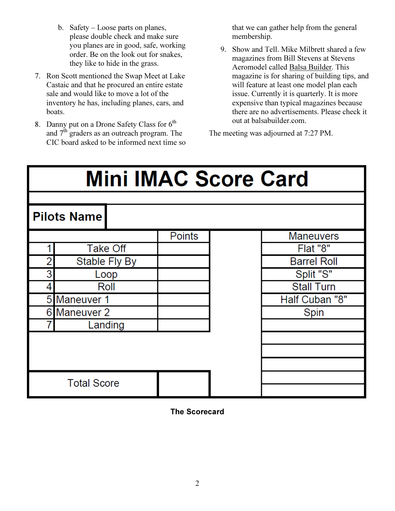- b. Safety Loose parts on planes, please double check and make sure you planes are in good, safe, working order. Be on the look out for snakes, they like to hide in the grass.
- 7. Ron Scott mentioned the Swap Meet at Lake Castaic and that he procured an entire estate sale and would like to move a lot of the inventory he has, including planes, cars, and boats.
- 8. Danny put on a Drone Safety Class for  $6^{th}$ and  $7<sup>th</sup>$  graders as an outreach program. The CIC board asked to be informed next time so

that we can gather help from the general membership.

9. Show and Tell. Mike Milbrett shared a few magazines from Bill Stevens at Stevens Aeromodel called Balsa Builder. This magazine is for sharing of building tips, and will feature at least one model plan each issue. Currently it is quarterly. It is more expensive than typical magazines because there are no advertisements. Please check it out at balsabuilder.com.

The meeting was adjourned at 7:27 PM.

| <b>Mini IMAC Score Card</b> |                 |  |               |                |                    |  |  |  |  |
|-----------------------------|-----------------|--|---------------|----------------|--------------------|--|--|--|--|
|                             |                 |  |               |                |                    |  |  |  |  |
| <b>Pilots Name</b>          |                 |  |               |                |                    |  |  |  |  |
|                             |                 |  | <b>Points</b> |                | <b>Maneuvers</b>   |  |  |  |  |
|                             | <b>Take Off</b> |  |               |                | Flat "8"           |  |  |  |  |
|                             | Stable Fly By   |  |               |                | <b>Barrel Roll</b> |  |  |  |  |
| 3                           | Loop            |  |               |                | Split "S"          |  |  |  |  |
| 4                           | Roll            |  |               |                | <b>Stall Turn</b>  |  |  |  |  |
| 5 Maneuver 1                |                 |  |               | Half Cuban "8" |                    |  |  |  |  |
| 6 Maneuver 2                |                 |  |               | Spin           |                    |  |  |  |  |
|                             | Landing         |  |               |                |                    |  |  |  |  |
|                             |                 |  |               |                |                    |  |  |  |  |
|                             |                 |  |               |                |                    |  |  |  |  |
|                             |                 |  |               |                |                    |  |  |  |  |
| <b>Total Score</b>          |                 |  |               |                |                    |  |  |  |  |

## The Scorecard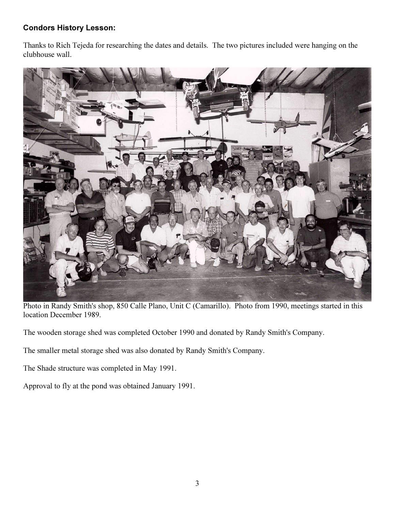## Condors History Lesson:

Thanks to Rich Tejeda for researching the dates and details. The two pictures included were hanging on the clubhouse wall.



Photo in Randy Smith's shop, 850 Calle Plano, Unit C (Camarillo). Photo from 1990, meetings started in this location December 1989.

The wooden storage shed was completed October 1990 and donated by Randy Smith's Company.

The smaller metal storage shed was also donated by Randy Smith's Company.

The Shade structure was completed in May 1991.

Approval to fly at the pond was obtained January 1991.